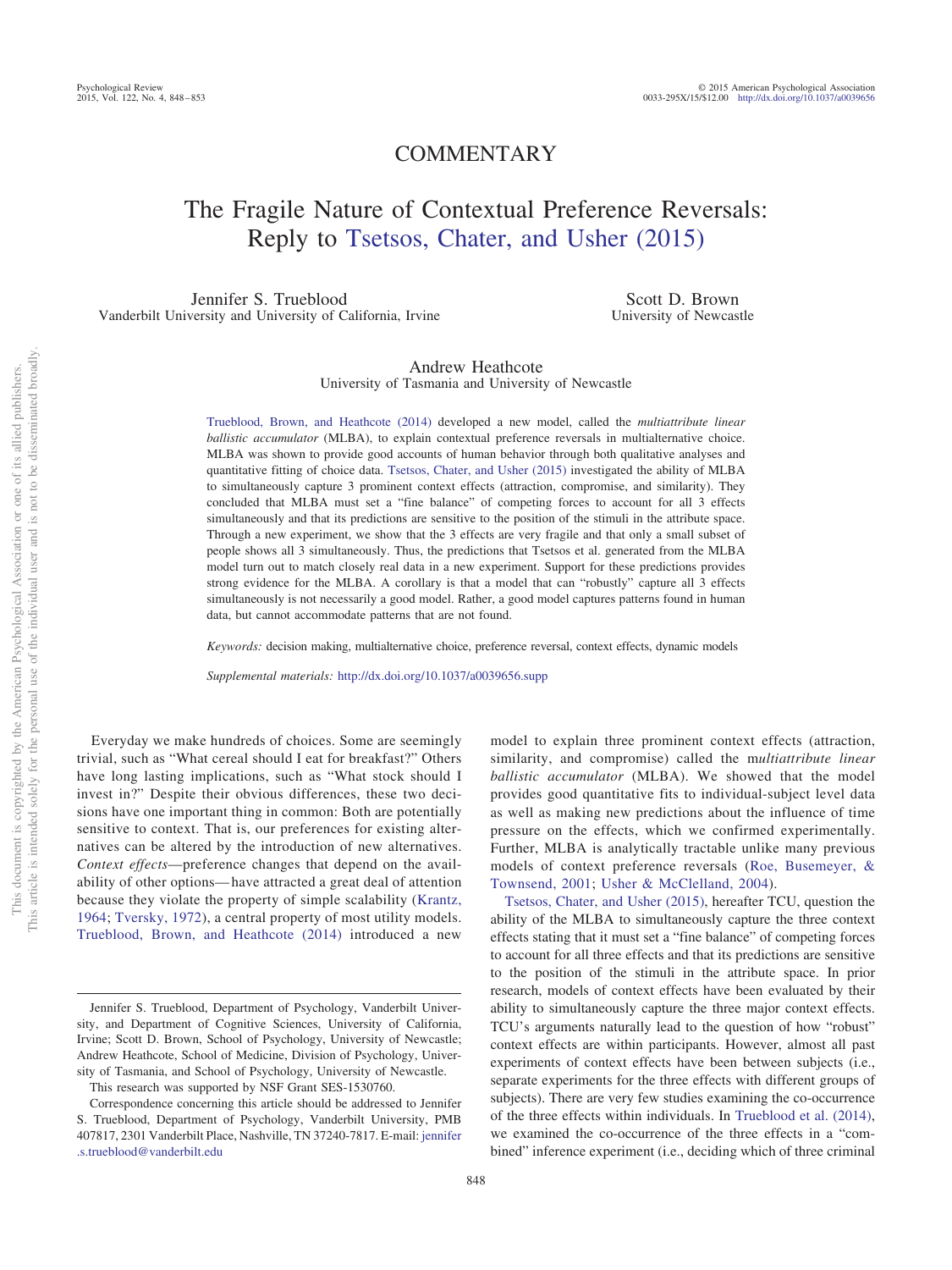# COMMENTARY

# The Fragile Nature of Contextual Preference Reversals: Reply to [Tsetsos, Chater, and Usher \(2015\)](#page-5-0)

Jennifer S. Trueblood Vanderbilt University and University of California, Irvine

Scott D. Brown University of Newcastle

# Andrew Heathcote University of Tasmania and University of Newcastle

[Trueblood, Brown, and Heathcote \(2014\)](#page-5-1) developed a new model, called the *multiattribute linear ballistic accumulator* (MLBA), to explain contextual preference reversals in multialternative choice. MLBA was shown to provide good accounts of human behavior through both qualitative analyses and quantitative fitting of choice data. [Tsetsos, Chater, and Usher \(2015\)](#page-5-0) investigated the ability of MLBA to simultaneously capture 3 prominent context effects (attraction, compromise, and similarity). They concluded that MLBA must set a "fine balance" of competing forces to account for all 3 effects simultaneously and that its predictions are sensitive to the position of the stimuli in the attribute space. Through a new experiment, we show that the 3 effects are very fragile and that only a small subset of people shows all 3 simultaneously. Thus, the predictions that Tsetsos et al. generated from the MLBA model turn out to match closely real data in a new experiment. Support for these predictions provides strong evidence for the MLBA. A corollary is that a model that can "robustly" capture all 3 effects simultaneously is not necessarily a good model. Rather, a good model captures patterns found in human data, but cannot accommodate patterns that are not found.

*Keywords:* decision making, multialternative choice, preference reversal, context effects, dynamic models

*Supplemental materials:* http://dx.doi.org[/10.1037/a0039656.supp](http://dx.doi.org/10.1037/a0039656.supp)

Everyday we make hundreds of choices. Some are seemingly trivial, such as "What cereal should I eat for breakfast?" Others have long lasting implications, such as "What stock should I invest in?" Despite their obvious differences, these two decisions have one important thing in common: Both are potentially sensitive to context. That is, our preferences for existing alternatives can be altered by the introduction of new alternatives. *Context effects*—preference changes that depend on the availability of other options— have attracted a great deal of attention because they violate the property of simple scalability [\(Krantz,](#page-4-0) [1964;](#page-4-0) [Tversky, 1972\)](#page-5-2), a central property of most utility models. [Trueblood, Brown, and Heathcote \(2014\)](#page-5-1) introduced a new

model to explain three prominent context effects (attraction, similarity, and compromise) called the m*ultiattribute linear ballistic accumulator* (MLBA). We showed that the model provides good quantitative fits to individual-subject level data as well as making new predictions about the influence of time pressure on the effects, which we confirmed experimentally. Further, MLBA is analytically tractable unlike many previous models of context preference reversals [\(Roe, Busemeyer, &](#page-4-1) [Townsend, 2001;](#page-4-1) [Usher & McClelland, 2004\)](#page-5-3).

[Tsetsos, Chater, and Usher \(2015\),](#page-5-0) hereafter TCU, question the ability of the MLBA to simultaneously capture the three context effects stating that it must set a "fine balance" of competing forces to account for all three effects and that its predictions are sensitive to the position of the stimuli in the attribute space. In prior research, models of context effects have been evaluated by their ability to simultaneously capture the three major context effects. TCU's arguments naturally lead to the question of how "robust" context effects are within participants. However, almost all past experiments of context effects have been between subjects (i.e., separate experiments for the three effects with different groups of subjects). There are very few studies examining the co-occurrence of the three effects within individuals. In [Trueblood et al. \(2014\),](#page-5-1) we examined the co-occurrence of the three effects in a "combined" inference experiment (i.e., deciding which of three criminal

Jennifer S. Trueblood, Department of Psychology, Vanderbilt University, and Department of Cognitive Sciences, University of California, Irvine; Scott D. Brown, School of Psychology, University of Newcastle; Andrew Heathcote, School of Medicine, Division of Psychology, University of Tasmania, and School of Psychology, University of Newcastle.

This research was supported by NSF Grant SES-1530760.

Correspondence concerning this article should be addressed to Jennifer S. Trueblood, Department of Psychology, Vanderbilt University, PMB 407817, 2301 Vanderbilt Place, Nashville, TN 37240-7817. E-mail: [jennifer](mailto:jennifer.s.trueblood@vanderbilt.edu) s.trueblood@vanderbilt.edu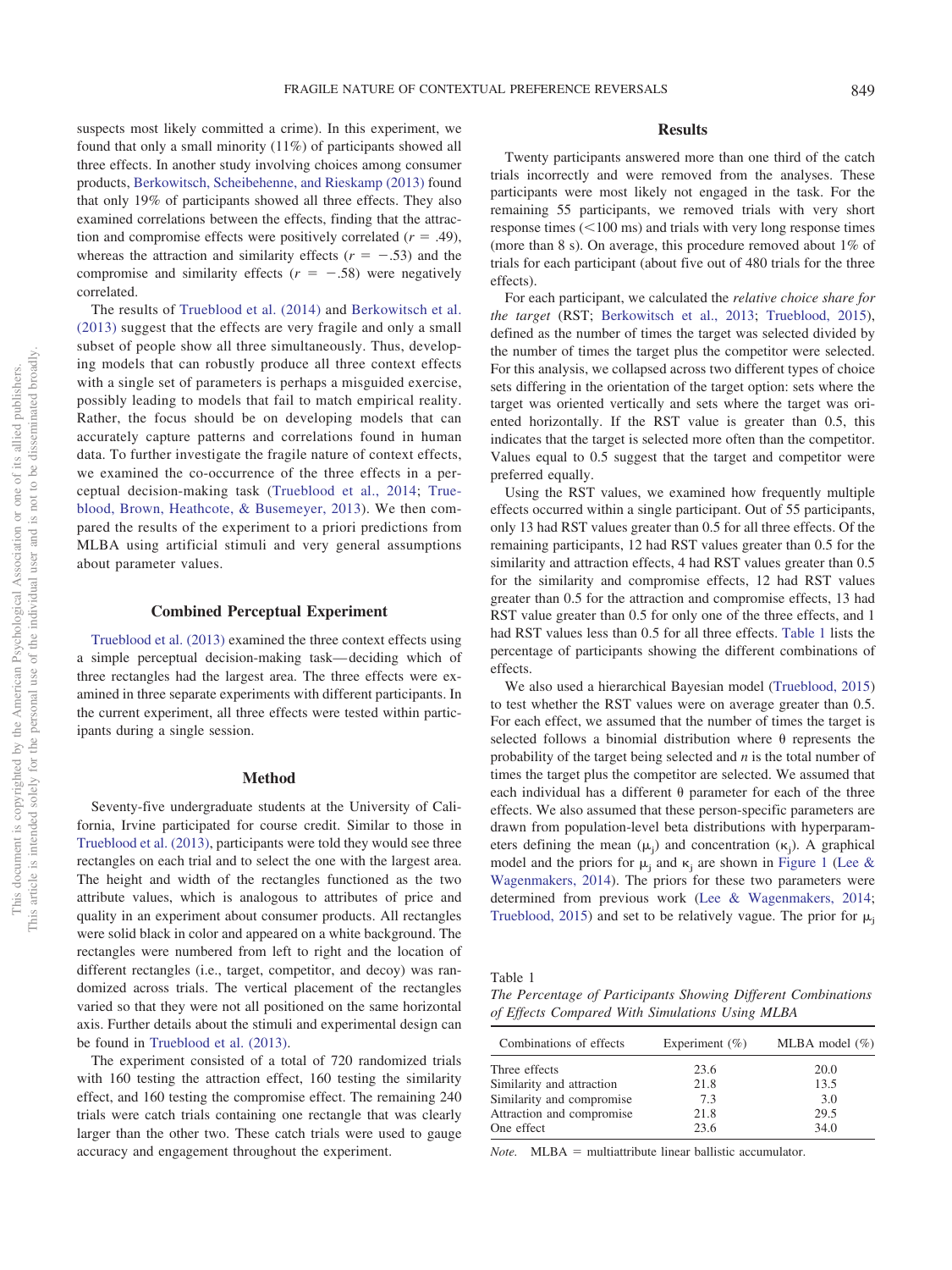suspects most likely committed a crime). In this experiment, we found that only a small minority (11%) of participants showed all three effects. In another study involving choices among consumer products, [Berkowitsch, Scheibehenne, and Rieskamp \(2013\)](#page-4-2) found that only 19% of participants showed all three effects. They also examined correlations between the effects, finding that the attraction and compromise effects were positively correlated  $(r = .49)$ , whereas the attraction and similarity effects  $(r = -.53)$  and the compromise and similarity effects  $(r = -.58)$  were negatively correlated.

The results of [Trueblood et al. \(2014\)](#page-5-1) and [Berkowitsch et al.](#page-4-2) [\(2013\)](#page-4-2) suggest that the effects are very fragile and only a small subset of people show all three simultaneously. Thus, developing models that can robustly produce all three context effects with a single set of parameters is perhaps a misguided exercise, possibly leading to models that fail to match empirical reality. Rather, the focus should be on developing models that can accurately capture patterns and correlations found in human data. To further investigate the fragile nature of context effects, we examined the co-occurrence of the three effects in a perceptual decision-making task [\(Trueblood et al., 2014;](#page-5-1) [True](#page-5-4)[blood, Brown, Heathcote, & Busemeyer, 2013\)](#page-5-4). We then compared the results of the experiment to a priori predictions from MLBA using artificial stimuli and very general assumptions about parameter values.

#### **Combined Perceptual Experiment**

[Trueblood et al. \(2013\)](#page-5-4) examined the three context effects using a simple perceptual decision-making task— deciding which of three rectangles had the largest area. The three effects were examined in three separate experiments with different participants. In the current experiment, all three effects were tested within participants during a single session.

#### **Method**

Seventy-five undergraduate students at the University of California, Irvine participated for course credit. Similar to those in [Trueblood et al. \(2013\),](#page-5-4) participants were told they would see three rectangles on each trial and to select the one with the largest area. The height and width of the rectangles functioned as the two attribute values, which is analogous to attributes of price and quality in an experiment about consumer products. All rectangles were solid black in color and appeared on a white background. The rectangles were numbered from left to right and the location of different rectangles (i.e., target, competitor, and decoy) was randomized across trials. The vertical placement of the rectangles varied so that they were not all positioned on the same horizontal axis. Further details about the stimuli and experimental design can be found in [Trueblood et al. \(2013\).](#page-5-4)

The experiment consisted of a total of 720 randomized trials with 160 testing the attraction effect, 160 testing the similarity effect, and 160 testing the compromise effect. The remaining 240 trials were catch trials containing one rectangle that was clearly larger than the other two. These catch trials were used to gauge accuracy and engagement throughout the experiment.

## **Results**

Twenty participants answered more than one third of the catch trials incorrectly and were removed from the analyses. These participants were most likely not engaged in the task. For the remaining 55 participants, we removed trials with very short response times  $(<100 \text{ ms})$  and trials with very long response times (more than 8 s). On average, this procedure removed about 1% of trials for each participant (about five out of 480 trials for the three effects).

For each participant, we calculated the *relative choice share for the target* (RST; [Berkowitsch et al., 2013;](#page-4-2) [Trueblood, 2015\)](#page-5-5), defined as the number of times the target was selected divided by the number of times the target plus the competitor were selected. For this analysis, we collapsed across two different types of choice sets differing in the orientation of the target option: sets where the target was oriented vertically and sets where the target was oriented horizontally. If the RST value is greater than 0.5, this indicates that the target is selected more often than the competitor. Values equal to 0.5 suggest that the target and competitor were preferred equally.

Using the RST values, we examined how frequently multiple effects occurred within a single participant. Out of 55 participants, only 13 had RST values greater than 0.5 for all three effects. Of the remaining participants, 12 had RST values greater than 0.5 for the similarity and attraction effects, 4 had RST values greater than 0.5 for the similarity and compromise effects, 12 had RST values greater than 0.5 for the attraction and compromise effects, 13 had RST value greater than 0.5 for only one of the three effects, and 1 had RST values less than 0.5 for all three effects. [Table 1](#page-1-0) lists the percentage of participants showing the different combinations of effects.

We also used a hierarchical Bayesian model [\(Trueblood, 2015\)](#page-5-5) to test whether the RST values were on average greater than 0.5. For each effect, we assumed that the number of times the target is selected follows a binomial distribution where  $\theta$  represents the probability of the target being selected and *n* is the total number of times the target plus the competitor are selected. We assumed that each individual has a different  $\theta$  parameter for each of the three effects. We also assumed that these person-specific parameters are drawn from population-level beta distributions with hyperparameters defining the mean  $(\mu_j)$  and concentration  $(\kappa_j)$ . A graphical model and the priors for  $\mu_i$  and  $\kappa_i$  are shown in [Figure 1](#page-2-0) [\(Lee &](#page-4-3) [Wagenmakers, 2014\)](#page-4-3). The priors for these two parameters were determined from previous work [\(Lee & Wagenmakers, 2014;](#page-4-3) [Trueblood, 2015\)](#page-5-5) and set to be relatively vague. The prior for  $\mu_i$ 

<span id="page-1-0"></span>Table 1

*The Percentage of Participants Showing Different Combinations of Effects Compared With Simulations Using MLBA*

| Combinations of effects   | Experiment $(\% )$ | MLBA model $(\% )$ |
|---------------------------|--------------------|--------------------|
| Three effects             | 23.6               | 20.0               |
| Similarity and attraction | 21.8               | 13.5               |
| Similarity and compromise | 7.3                | 3.0                |
| Attraction and compromise | 21.8               | 29.5               |
| One effect                | 23.6               | 34.0               |
|                           |                    |                    |

*Note.* MLBA = multiattribute linear ballistic accumulator.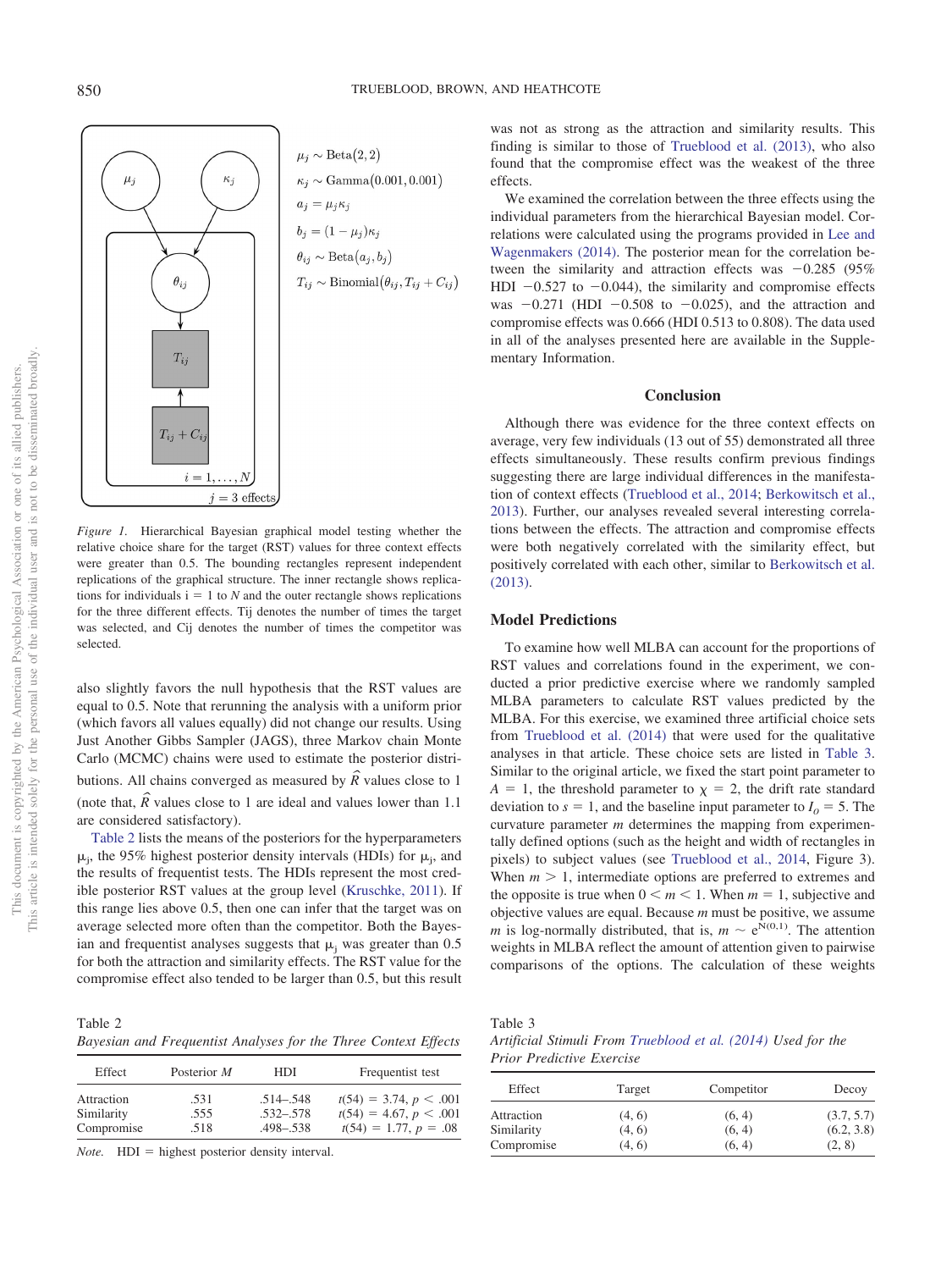



<span id="page-2-0"></span>*Figure 1.* Hierarchical Bayesian graphical model testing whether the relative choice share for the target (RST) values for three context effects were greater than 0.5. The bounding rectangles represent independent replications of the graphical structure. The inner rectangle shows replications for individuals  $i = 1$  to *N* and the outer rectangle shows replications for the three different effects. Tij denotes the number of times the target was selected, and Cij denotes the number of times the competitor was selected.

also slightly favors the null hypothesis that the RST values are equal to 0.5. Note that rerunning the analysis with a uniform prior (which favors all values equally) did not change our results. Using Just Another Gibbs Sampler (JAGS), three Markov chain Monte Carlo (MCMC) chains were used to estimate the posterior distributions. All chains converged as measured by  $\hat{R}$  values close to 1 (note that,  $\hat{R}$  values close to 1 are ideal and values lower than 1.1 are considered satisfactory).

[Table 2](#page-2-1) lists the means of the posteriors for the hyperparameters  $\mu_j$ , the 95% highest posterior density intervals (HDIs) for  $\mu_j$ , and the results of frequentist tests. The HDIs represent the most credible posterior RST values at the group level [\(Kruschke, 2011\)](#page-4-4). If this range lies above 0.5, then one can infer that the target was on average selected more often than the competitor. Both the Bayesian and frequentist analyses suggests that  $\mu_i$  was greater than 0.5 for both the attraction and similarity effects. The RST value for the compromise effect also tended to be larger than 0.5, but this result

<span id="page-2-1"></span>Table 2 *Bayesian and Frequentist Analyses for the Three Context Effects*

| Effect     | Posterior M | HDI           | Frequentist test         |
|------------|-------------|---------------|--------------------------|
| Attraction | .531        | $.514 - .548$ | $t(54) = 3.74, p < .001$ |
| Similarity | .555        | $.532 - .578$ | $t(54) = 4.67, p < .001$ |
| Compromise | .518        | $.498 - .538$ | $t(54) = 1.77, p = .08$  |

*Note.* HDI = highest posterior density interval.

was not as strong as the attraction and similarity results. This finding is similar to those of [Trueblood et al. \(2013\),](#page-5-4) who also found that the compromise effect was the weakest of the three effects.

We examined the correlation between the three effects using the individual parameters from the hierarchical Bayesian model. Correlations were calculated using the programs provided in [Lee and](#page-4-3) [Wagenmakers \(2014\).](#page-4-3) The posterior mean for the correlation between the similarity and attraction effects was  $-0.285$  (95%) HDI  $-0.527$  to  $-0.044$ ), the similarity and compromise effects was  $-0.271$  (HDI  $-0.508$  to  $-0.025$ ), and the attraction and compromise effects was 0.666 (HDI 0.513 to 0.808). The data used in all of the analyses presented here are available in the Supplementary Information.

#### **Conclusion**

Although there was evidence for the three context effects on average, very few individuals (13 out of 55) demonstrated all three effects simultaneously. These results confirm previous findings suggesting there are large individual differences in the manifestation of context effects [\(Trueblood et al., 2014;](#page-5-1) [Berkowitsch et al.,](#page-4-2) [2013\)](#page-4-2). Further, our analyses revealed several interesting correlations between the effects. The attraction and compromise effects were both negatively correlated with the similarity effect, but positively correlated with each other, similar to [Berkowitsch et al.](#page-4-2) [\(2013\).](#page-4-2)

### **Model Predictions**

To examine how well MLBA can account for the proportions of RST values and correlations found in the experiment, we conducted a prior predictive exercise where we randomly sampled MLBA parameters to calculate RST values predicted by the MLBA. For this exercise, we examined three artificial choice sets from [Trueblood et al. \(2014\)](#page-5-1) that were used for the qualitative analyses in that article. These choice sets are listed in [Table 3.](#page-2-2) Similar to the original article, we fixed the start point parameter to  $A = 1$ , the threshold parameter to  $\chi = 2$ , the drift rate standard deviation to  $s = 1$ , and the baseline input parameter to  $I_0 = 5$ . The curvature parameter *m* determines the mapping from experimentally defined options (such as the height and width of rectangles in pixels) to subject values (see [Trueblood et al., 2014,](#page-5-1) Figure 3). When  $m > 1$ , intermediate options are preferred to extremes and the opposite is true when  $0 \le m \le 1$ . When  $m = 1$ , subjective and objective values are equal. Because *m* must be positive, we assume *m* is log-normally distributed, that is,  $m \sim e^{N(0,1)}$ . The attention weights in MLBA reflect the amount of attention given to pairwise comparisons of the options. The calculation of these weights

<span id="page-2-2"></span>Table 3

*Artificial Stimuli From [Trueblood et al. \(2014\)](#page-5-1) Used for the Prior Predictive Exercise*

| Effect     | Target | Competitor | Decoy      |
|------------|--------|------------|------------|
| Attraction | (4, 6) | (6, 4)     | (3.7, 5.7) |
| Similarity | (4, 6) | (6, 4)     | (6.2, 3.8) |
| Compromise | (4, 6) | (6, 4)     | (2, 8)     |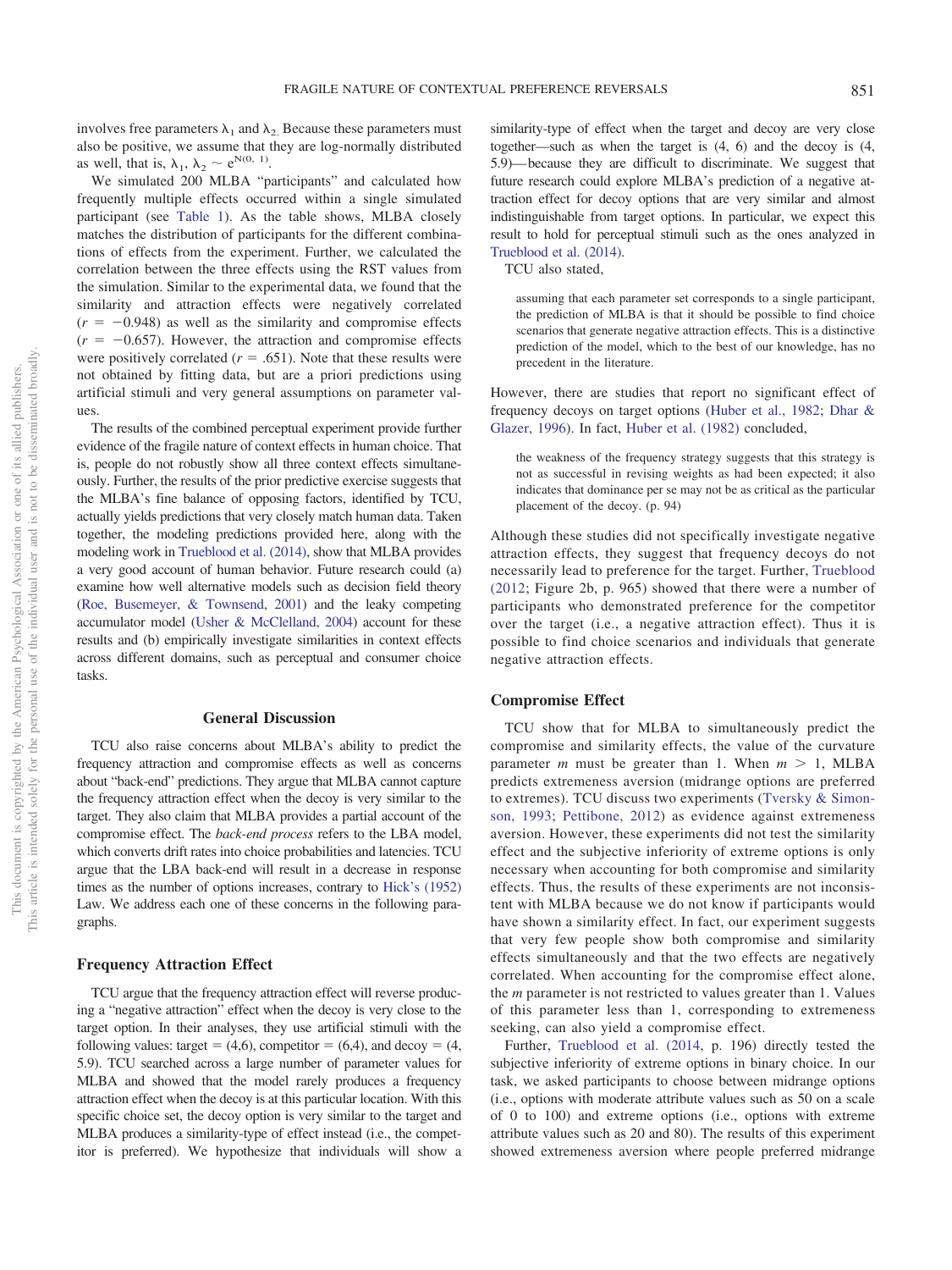involves free parameters  $\lambda_1$  and  $\lambda_2$ . Because these parameters must also be positive, we assume that they are log-normally distributed as well, that is,  $\lambda_1$ ,  $\lambda_2 \sim e^{N(0, 1)}$ .

We simulated 200 MLBA "participants" and calculated how frequently multiple effects occurred within a single simulated participant (see [Table 1\)](#page-1-0). As the table shows, MLBA closely matches the distribution of participants for the different combinations of effects from the experiment. Further, we calculated the correlation between the three effects using the RST values from the simulation. Similar to the experimental data, we found that the similarity and attraction effects were negatively correlated  $(r = -0.948)$  as well as the similarity and compromise effects  $(r = -0.657)$ . However, the attraction and compromise effects were positively correlated  $(r = .651)$ . Note that these results were not obtained by fitting data, but are a priori predictions using artificial stimuli and very general assumptions on parameter values.

The results of the combined perceptual experiment provide further evidence of the fragile nature of context effects in human choice. That is, people do not robustly show all three context effects simultaneously. Further, the results of the prior predictive exercise suggests that the MLBA's fine balance of opposing factors, identified by TCU, actually yields predictions that very closely match human data. Taken together, the modeling predictions provided here, along with the modeling work in [Trueblood et al. \(2014\),](#page-5-1) show that MLBA provides a very good account of human behavior. Future research could (a) examine how well alternative models such as decision field theory [\(Roe, Busemeyer, & Townsend, 2001\)](#page-4-1) and the leaky competing accumulator model [\(Usher & McClelland, 2004\)](#page-5-3) account for these results and (b) empirically investigate similarities in context effects across different domains, such as perceptual and consumer choice tasks.

#### **General Discussion**

TCU also raise concerns about MLBA's ability to predict the frequency attraction and compromise effects as well as concerns about "back-end" predictions. They argue that MLBA cannot capture the frequency attraction effect when the decoy is very similar to the target. They also claim that MLBA provides a partial account of the compromise effect. The *back-end process* refers to the LBA model, which converts drift rates into choice probabilities and latencies. TCU argue that the LBA back-end will result in a decrease in response times as the number of options increases, contrary to [Hick's \(1952\)](#page-4-5) Law. We address each one of these concerns in the following paragraphs.

#### **Frequency Attraction Effect**

TCU argue that the frequency attraction effect will reverse producing a "negative attraction" effect when the decoy is very close to the target option. In their analyses, they use artificial stimuli with the following values: target =  $(4,6)$ , competitor =  $(6,4)$ , and decoy =  $(4, 6)$ 5.9). TCU searched across a large number of parameter values for MLBA and showed that the model rarely produces a frequency attraction effect when the decoy is at this particular location. With this specific choice set, the decoy option is very similar to the target and MLBA produces a similarity-type of effect instead (i.e., the competitor is preferred). We hypothesize that individuals will show a

similarity-type of effect when the target and decoy are very close together—such as when the target is (4, 6) and the decoy is (4, 5.9)— because they are difficult to discriminate. We suggest that future research could explore MLBA's prediction of a negative attraction effect for decoy options that are very similar and almost indistinguishable from target options. In particular, we expect this result to hold for perceptual stimuli such as the ones analyzed in [Trueblood et al. \(2014\).](#page-5-1)

TCU also stated,

assuming that each parameter set corresponds to a single participant, the prediction of MLBA is that it should be possible to find choice scenarios that generate negative attraction effects. This is a distinctive prediction of the model, which to the best of our knowledge, has no precedent in the literature.

However, there are studies that report no significant effect of frequency decoys on target options [\(Huber et al., 1982;](#page-4-6) [Dhar &](#page-4-7) [Glazer, 1996\)](#page-4-7). In fact, [Huber et al. \(1982\)](#page-4-6) concluded,

the weakness of the frequency strategy suggests that this strategy is not as successful in revising weights as had been expected; it also indicates that dominance per se may not be as critical as the particular placement of the decoy. (p. 94)

Although these studies did not specifically investigate negative attraction effects, they suggest that frequency decoys do not necessarily lead to preference for the target. Further, [Trueblood](#page-4-8) [\(2012;](#page-4-8) Figure 2b, p. 965) showed that there were a number of participants who demonstrated preference for the competitor over the target (i.e., a negative attraction effect). Thus it is possible to find choice scenarios and individuals that generate negative attraction effects.

#### **Compromise Effect**

TCU show that for MLBA to simultaneously predict the compromise and similarity effects, the value of the curvature parameter *m* must be greater than 1. When  $m > 1$ , MLBA predicts extremeness aversion (midrange options are preferred to extremes). TCU discuss two experiments [\(Tversky & Simon](#page-5-6)[son, 1993;](#page-5-6) [Pettibone, 2012\)](#page-4-9) as evidence against extremeness aversion. However, these experiments did not test the similarity effect and the subjective inferiority of extreme options is only necessary when accounting for both compromise and similarity effects. Thus, the results of these experiments are not inconsistent with MLBA because we do not know if participants would have shown a similarity effect. In fact, our experiment suggests that very few people show both compromise and similarity effects simultaneously and that the two effects are negatively correlated. When accounting for the compromise effect alone, the *m* parameter is not restricted to values greater than 1. Values of this parameter less than 1, corresponding to extremeness seeking, can also yield a compromise effect.

Further, [Trueblood et al. \(2014,](#page-5-1) p. 196) directly tested the subjective inferiority of extreme options in binary choice. In our task, we asked participants to choose between midrange options (i.e., options with moderate attribute values such as 50 on a scale of 0 to 100) and extreme options (i.e., options with extreme attribute values such as 20 and 80). The results of this experiment showed extremeness aversion where people preferred midrange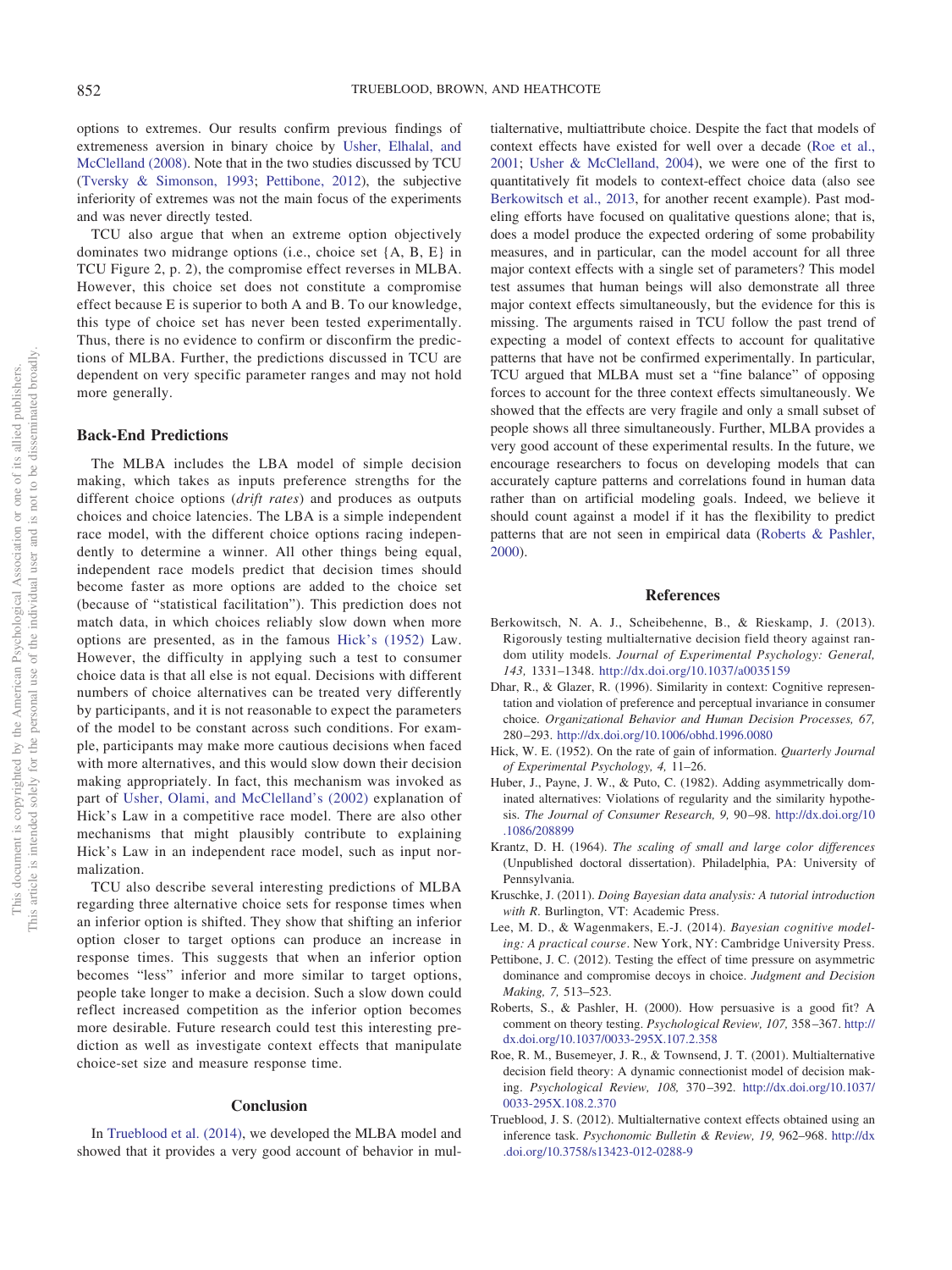options to extremes. Our results confirm previous findings of extremeness aversion in binary choice by [Usher, Elhalal, and](#page-5-7) [McClelland \(2008\).](#page-5-7) Note that in the two studies discussed by TCU [\(Tversky & Simonson, 1993;](#page-5-6) [Pettibone, 2012\)](#page-4-9), the subjective inferiority of extremes was not the main focus of the experiments and was never directly tested.

TCU also argue that when an extreme option objectively dominates two midrange options (i.e., choice set {A, B, E} in TCU Figure 2, p. 2), the compromise effect reverses in MLBA. However, this choice set does not constitute a compromise effect because E is superior to both A and B. To our knowledge, this type of choice set has never been tested experimentally. Thus, there is no evidence to confirm or disconfirm the predictions of MLBA. Further, the predictions discussed in TCU are dependent on very specific parameter ranges and may not hold more generally.

# **Back-End Predictions**

The MLBA includes the LBA model of simple decision making, which takes as inputs preference strengths for the different choice options (*drift rates*) and produces as outputs choices and choice latencies. The LBA is a simple independent race model, with the different choice options racing independently to determine a winner. All other things being equal, independent race models predict that decision times should become faster as more options are added to the choice set (because of "statistical facilitation"). This prediction does not match data, in which choices reliably slow down when more options are presented, as in the famous [Hick's \(1952\)](#page-4-5) Law. However, the difficulty in applying such a test to consumer choice data is that all else is not equal. Decisions with different numbers of choice alternatives can be treated very differently by participants, and it is not reasonable to expect the parameters of the model to be constant across such conditions. For example, participants may make more cautious decisions when faced with more alternatives, and this would slow down their decision making appropriately. In fact, this mechanism was invoked as part of [Usher, Olami, and McClelland's \(2002\)](#page-5-8) explanation of Hick's Law in a competitive race model. There are also other mechanisms that might plausibly contribute to explaining Hick's Law in an independent race model, such as input normalization.

TCU also describe several interesting predictions of MLBA regarding three alternative choice sets for response times when an inferior option is shifted. They show that shifting an inferior option closer to target options can produce an increase in response times. This suggests that when an inferior option becomes "less" inferior and more similar to target options, people take longer to make a decision. Such a slow down could reflect increased competition as the inferior option becomes more desirable. Future research could test this interesting prediction as well as investigate context effects that manipulate choice-set size and measure response time.

#### **Conclusion**

In [Trueblood et al. \(2014\),](#page-5-1) we developed the MLBA model and showed that it provides a very good account of behavior in multialternative, multiattribute choice. Despite the fact that models of context effects have existed for well over a decade [\(Roe et al.,](#page-4-1) [2001;](#page-4-1) [Usher & McClelland, 2004\)](#page-5-3), we were one of the first to quantitatively fit models to context-effect choice data (also see [Berkowitsch et al., 2013,](#page-4-2) for another recent example). Past modeling efforts have focused on qualitative questions alone; that is, does a model produce the expected ordering of some probability measures, and in particular, can the model account for all three major context effects with a single set of parameters? This model test assumes that human beings will also demonstrate all three major context effects simultaneously, but the evidence for this is missing. The arguments raised in TCU follow the past trend of expecting a model of context effects to account for qualitative patterns that have not be confirmed experimentally. In particular, TCU argued that MLBA must set a "fine balance" of opposing forces to account for the three context effects simultaneously. We showed that the effects are very fragile and only a small subset of people shows all three simultaneously. Further, MLBA provides a very good account of these experimental results. In the future, we encourage researchers to focus on developing models that can accurately capture patterns and correlations found in human data rather than on artificial modeling goals. Indeed, we believe it should count against a model if it has the flexibility to predict patterns that are not seen in empirical data [\(Roberts & Pashler,](#page-4-10) [2000\)](#page-4-10).

## **References**

- <span id="page-4-2"></span>Berkowitsch, N. A. J., Scheibehenne, B., & Rieskamp, J. (2013). Rigorously testing multialternative decision field theory against random utility models. *Journal of Experimental Psychology: General, 143,* 1331–1348. <http://dx.doi.org/10.1037/a0035159>
- <span id="page-4-7"></span>Dhar, R., & Glazer, R. (1996). Similarity in context: Cognitive representation and violation of preference and perceptual invariance in consumer choice. *Organizational Behavior and Human Decision Processes, 67,* 280 –293. <http://dx.doi.org/10.1006/obhd.1996.0080>
- <span id="page-4-5"></span>Hick, W. E. (1952). On the rate of gain of information. *Quarterly Journal of Experimental Psychology, 4,* 11–26.
- <span id="page-4-6"></span>Huber, J., Payne, J. W., & Puto, C. (1982). Adding asymmetrically dominated alternatives: Violations of regularity and the similarity hypothesis. *The Journal of Consumer Research, 9,* 90 –98. [http://dx.doi.org/10](http://dx.doi.org/10.1086/208899) [.1086/208899](http://dx.doi.org/10.1086/208899)
- <span id="page-4-0"></span>Krantz, D. H. (1964). *The scaling of small and large color differences* (Unpublished doctoral dissertation). Philadelphia, PA: University of Pennsylvania.
- <span id="page-4-4"></span>Kruschke, J. (2011). *Doing Bayesian data analysis: A tutorial introduction with R*. Burlington, VT: Academic Press.
- <span id="page-4-3"></span>Lee, M. D., & Wagenmakers, E.-J. (2014). *Bayesian cognitive modeling: A practical course*. New York, NY: Cambridge University Press.
- <span id="page-4-9"></span>Pettibone, J. C. (2012). Testing the effect of time pressure on asymmetric dominance and compromise decoys in choice. *Judgment and Decision Making, 7,* 513–523.
- <span id="page-4-10"></span>Roberts, S., & Pashler, H. (2000). How persuasive is a good fit? A comment on theory testing. *Psychological Review, 107,* 358 –367. [http://](http://dx.doi.org/10.1037/0033-295X.107.2.358) [dx.doi.org/10.1037/0033-295X.107.2.358](http://dx.doi.org/10.1037/0033-295X.107.2.358)
- <span id="page-4-1"></span>Roe, R. M., Busemeyer, J. R., & Townsend, J. T. (2001). Multialternative decision field theory: A dynamic connectionist model of decision making. *Psychological Review, 108,* 370 –392. [http://dx.doi.org/10.1037/](http://dx.doi.org/10.1037/0033-295X.108.2.370) [0033-295X.108.2.370](http://dx.doi.org/10.1037/0033-295X.108.2.370)
- <span id="page-4-8"></span>Trueblood, J. S. (2012). Multialternative context effects obtained using an inference task. *Psychonomic Bulletin & Review, 19,* 962–968. [http://dx](http://dx.doi.org/10.3758/s13423-012-0288-9) [.doi.org/10.3758/s13423-012-0288-9](http://dx.doi.org/10.3758/s13423-012-0288-9)